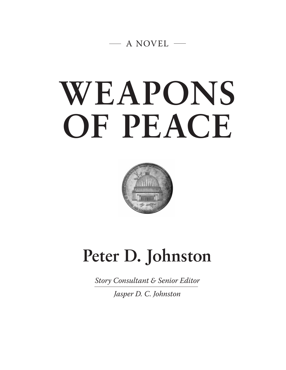

# **WEAPONS OF PEACE**



# **Peter D. Johnston**

*Story Consultant & Senior Editor*

*Jasper D. C. Johnston*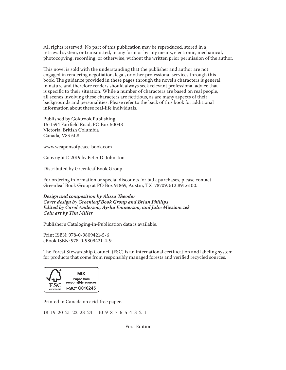All rights reserved. No part of this publication may be reproduced, stored in a retrieval system, or transmitted, in any form or by any means, electronic, mechanical, photocopying, recording, or otherwise, without the written prior permission of the author.

This novel is sold with the understanding that the publisher and author are not engaged in rendering negotiation, legal, or other professional services through this book. The guidance provided in these pages through the novel's characters is general in nature and therefore readers should always seek relevant professional advice that is specifc to their situation. While a number of characters are based on real people, all scenes involving these characters are fctitious, as are many aspects of their backgrounds and personalities. Please refer to the back of this book for additional information about these real-life individuals.

Published by Goldrook Publishing 15-1594 Fairfeld Road, PO Box 50043 Victoria, British Columbia Canada, V8S 5L8

www.weaponsofpeace-book.com

Copyright © 2019 by Peter D. Johnston

Distributed by Greenleaf Book Group

For ordering information or special discounts for bulk purchases, please contact Greenleaf Book Group at PO Box 91869, Austin, TX 78709, 512.891.6100.

*Design and composition by Alissa* **T***eodor Cover design by Greenleaf Book Group and Brian Phillips Edited by Carol Anderson, Aysha Emmerson, and Julie Miesionczek Coin art by Tim Miller*

Publisher's Cataloging-in-Publication data is available.

Print ISBN: 978-0-9809421-5-6 eBook ISBN: 978-0-9809421-4-9

The Forest Stewardship Council (FSC) is an international certification and labeling system for products that come from responsibly managed forests and verifed recycled sources.



Printed in Canada on acid-free paper.

18 19 20 21 22 23 24 10 9 8 7 6 5 4 3 2 1

First Edition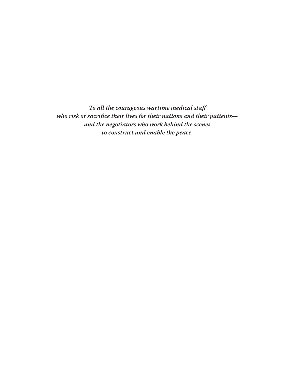*To all the courageous wartime medical sta***f** *who risk or sacri***f***ce their lives for their nations and their patients and the negotiators who work behind the scenes to construct and enable the peace.*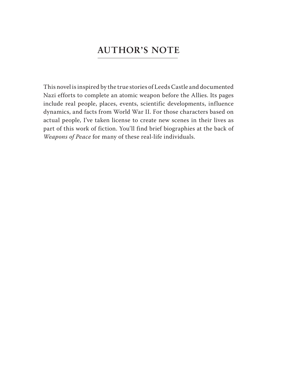### **AUTHOR'S NOTE**

This novel is inspired by the true stories of Leeds Castle and documented Nazi efforts to complete an atomic weapon before the Allies. Its pages include real people, places, events, scientific developments, influence dynamics, and facts from World War II. For those characters based on actual people, I've taken license to create new scenes in their lives as part of this work of fiction. You'll find brief biographies at the back of *Weapons of Peace* for many of these real-life individuals.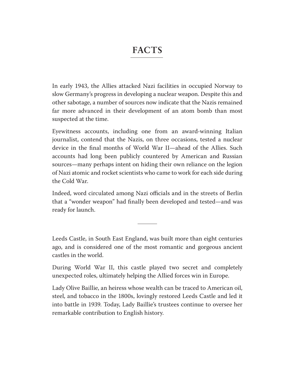### **FACTS**

In early 1943, the Allies attacked Nazi facilities in occupied Norway to slow Germany's progress in developing a nuclear weapon. Despite this and other sabotage, a number of sources now indicate that the Nazis remained far more advanced in their development of an atom bomb than most suspected at the time.

Eyewitness accounts, including one from an award-winning Italian journalist, contend that the Nazis, on three occasions, tested a nuclear device in the fnal months of World War II—ahead of the Allies. Such accounts had long been publicly countered by American and Russian sources—many perhaps intent on hiding their own reliance on the legion of Nazi atomic and rocket scientists who came to work for each side during the Cold War.

Indeed, word circulated among Nazi officials and in the streets of Berlin that a "wonder weapon" had fnally been developed and tested—and was ready for launch.

Leeds Castle, in South East England, was built more than eight centuries ago, and is considered one of the most romantic and gorgeous ancient castles in the world.

During World War II, this castle played two secret and completely unexpected roles, ultimately helping the Allied forces win in Europe.

Lady Olive Baillie, an heiress whose wealth can be traced to American oil, steel, and tobacco in the 1800s, lovingly restored Leeds Castle and led it into battle in 1939. Today, Lady Baillie's trustees continue to oversee her remarkable contribution to English history.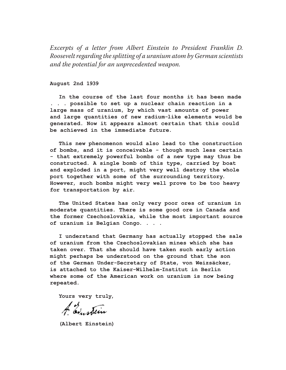*Excerpts of a letter from Albert Einstein to President Franklin D. Roosevelt regarding the splitting of a uranium atom by German scientists and the potential for an unprecedented weapon.* 

**August 2nd 1939**

**In the course of the last four months it has been made . . . possible to set up a nuclear chain reaction in a large mass of uranium, by which vast amounts of power and large quantities of new radium-like elements would be generated. Now it appears almost certain that this could be achieved in the immediate future.**

**This new phenomenon would also lead to the construction of bombs, and it is conceivable - though much less certain - that extremely powerful bombs of a new type may thus be constructed. A single bomb of this type, carried by boat and exploded in a port, might very well destroy the whole port together with some of the surrounding territory. However, such bombs might very well prove to be too heavy for transportation by air.**

**The United States has only very poor ores of uranium in moderate quantities. There is some good ore in Canada and the former Czechoslovakia, while the most important source of uranium is Belgian Congo. . . .**

**I understand that Germany has actually stopped the sale of uranium from the Czechoslovakian mines which she has taken over. That she should have taken such early action might perhaps be understood on the ground that the son of the German Under-Secretary of State, von Weizsäcker, is attached to the Kaiser-Wilhelm-Institut in Berlin where some of the American work on uranium is now being repeated.**

**Yours very truly,**

A av. stein

**(Albert Einstein)**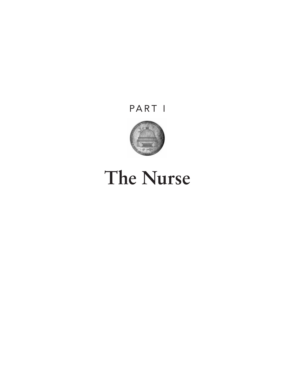## PART I



# **The Nurse**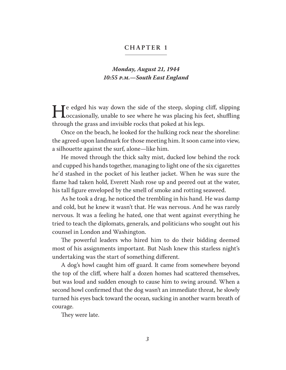#### **CHAPTER 1**

#### *Monday, August 21, 1944 10:55* **p***.***m***.—South East England*

He edged his way down the side of the steep, sloping cliff, slipping<br>occasionally, unable to see where he was placing his feet, shuffling<br>through the grass and invisible rocks that poked at his legs. occasionally, unable to see where he was placing his feet, shufing through the grass and invisible rocks that poked at his legs.

Once on the beach, he looked for the hulking rock near the shoreline: the agreed-upon landmark for those meeting him. It soon came into view, a silhouette against the surf, alone—like him.

He moved through the thick salty mist, ducked low behind the rock and cupped his hands together, managing to light one of the six cigarettes he'd stashed in the pocket of his leather jacket. When he was sure the fame had taken hold, Everett Nash rose up and peered out at the water, his tall fgure enveloped by the smell of smoke and rotting seaweed.

As he took a drag, he noticed the trembling in his hand. He was damp and cold, but he knew it wasn't that. He was nervous. And he was rarely nervous. It was a feeling he hated, one that went against everything he tried to teach the diplomats, generals, and politicians who sought out his counsel in London and Washington.

The powerful leaders who hired him to do their bidding deemed most of his assignments important. But Nash knew this starless night's undertaking was the start of something diferent.

A dog's howl caught him off guard. It came from somewhere beyond the top of the clif, where half a dozen homes had scattered themselves, but was loud and sudden enough to cause him to swing around. When a second howl confrmed that the dog wasn't an immediate threat, he slowly turned his eyes back toward the ocean, sucking in another warm breath of courage.

They were late.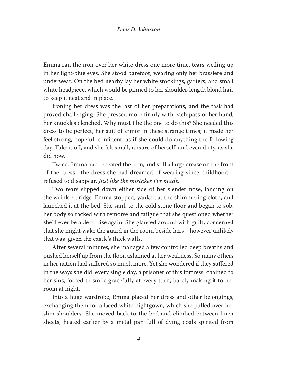#### *Peter D. Johnston*

Emma ran the iron over her white dress one more time, tears welling up in her light-blue eyes. She stood barefoot, wearing only her brassiere and underwear. On the bed nearby lay her white stockings, garters, and small white headpiece, which would be pinned to her shoulder-length blond hair to keep it neat and in place.

Ironing her dress was the last of her preparations, and the task had proved challenging. She pressed more frmly with each pass of her hand, her knuckles clenched. Why must I be the one to do this? She needed this dress to be perfect, her suit of armor in these strange times; it made her feel strong, hopeful, confdent, as if she could do anything the following day. Take it off, and she felt small, unsure of herself, and even dirty, as she did now.

Twice, Emma had reheated the iron, and still a large crease on the front of the dress—the dress she had dreamed of wearing since childhood refused to disappear. *Just like the mistakes I've made.*

Two tears slipped down either side of her slender nose, landing on the wrinkled ridge. Emma stopped, yanked at the shimmering cloth, and launched it at the bed. She sank to the cold stone floor and began to sob, her body so racked with remorse and fatigue that she questioned whether she'd ever be able to rise again. She glanced around with guilt, concerned that she might wake the guard in the room beside hers—however unlikely that was, given the castle's thick walls.

After several minutes, she managed a few controlled deep breaths and pushed herself up from the foor, ashamed at her weakness. So many others in her nation had sufered so much more. Yet she wondered if they sufered in the ways she did: every single day, a prisoner of this fortress, chained to her sins, forced to smile gracefully at every turn, barely making it to her room at night.

Into a huge wardrobe, Emma placed her dress and other belongings, exchanging them for a laced white nightgown, which she pulled over her slim shoulders. She moved back to the bed and climbed between linen sheets, heated earlier by a metal pan full of dying coals spirited from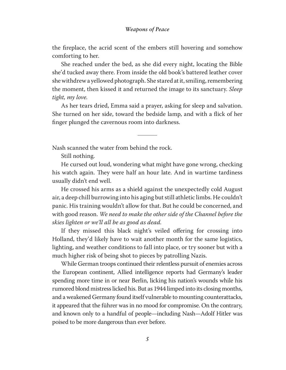#### *Weapons of Peace*

the freplace, the acrid scent of the embers still hovering and somehow comforting to her.

She reached under the bed, as she did every night, locating the Bible she'd tucked away there. From inside the old book's battered leather cover she withdrew a yellowed photograph. She stared at it, smiling, remembering the moment, then kissed it and returned the image to its sanctuary. *Sleep tight, my love.*

As her tears dried, Emma said a prayer, asking for sleep and salvation. She turned on her side, toward the bedside lamp, and with a fick of her fnger plunged the cavernous room into darkness.

Nash scanned the water from behind the rock.

Still nothing.

He cursed out loud, wondering what might have gone wrong, checking his watch again. They were half an hour late. And in wartime tardiness usually didn't end well.

He crossed his arms as a shield against the unexpectedly cold August air, a deep chill burrowing into his aging but still athletic limbs. He couldn't panic. His training wouldn't allow for that. But he could be concerned, and with good reason. *We need to make the other side of the Channel before the skies lighten or we'll all be as good as dead.* 

If they missed this black night's veiled offering for crossing into Holland, they'd likely have to wait another month for the same logistics, lighting, and weather conditions to fall into place, or try sooner but with a much higher risk of being shot to pieces by patrolling Nazis.

While German troops continued their relentless pursuit of enemies across the European continent, Allied intelligence reports had Germany's leader spending more time in or near Berlin, licking his nation's wounds while his rumored blond mistress licked his. But as 1944 limped into its closing months, and a weakened Germany found itself vulnerable to mounting counterattacks, it appeared that the führer was in no mood for compromise. On the contrary, and known only to a handful of people—including Nash—Adolf Hitler was poised to be more dangerous than ever before.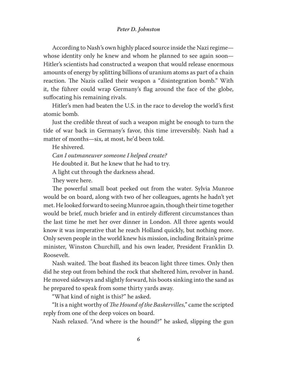#### *Peter D. Johnston*

According to Nash's own highly placed source inside the Nazi regime whose identity only he knew and whom he planned to see again soon— Hitler's scientists had constructed a weapon that would release enormous amounts of energy by splitting billions of uranium atoms as part of a chain reaction. The Nazis called their weapon a "disintegration bomb." With it, the führer could wrap Germany's flag around the face of the globe, suffocating his remaining rivals.

Hitler's men had beaten the U.S. in the race to develop the world's frst atomic bomb.

Just the credible threat of such a weapon might be enough to turn the tide of war back in Germany's favor, this time irreversibly. Nash had a matter of months—six, at most, he'd been told.

He shivered.

*Can I outmaneuver someone I helped create?* 

He doubted it. But he knew that he had to try.

A light cut through the darkness ahead.

They were here.

The powerful small boat peeked out from the water. Sylvia Munroe would be on board, along with two of her colleagues, agents he hadn't yet met. He looked forward to seeing Munroe again, though their time together would be brief, much briefer and in entirely diferent circumstances than the last time he met her over dinner in London. All three agents would know it was imperative that he reach Holland quickly, but nothing more. Only seven people in the world knew his mission, including Britain's prime minister, Winston Churchill, and his own leader, President Franklin D. Roosevelt.

Nash waited. The boat flashed its beacon light three times. Only then did he step out from behind the rock that sheltered him, revolver in hand. He moved sideways and slightly forward, his boots sinking into the sand as he prepared to speak from some thirty yards away.

"What kind of night is this?" he asked.

"It is a night worthy of *The Hound of the Baskervilles*," came the scripted reply from one of the deep voices on board.

Nash relaxed. "And where is the hound?" he asked, slipping the gun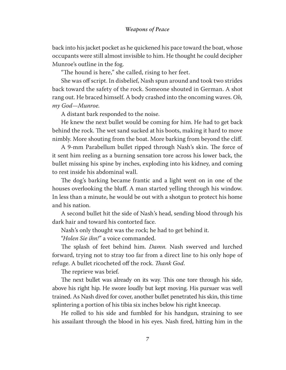back into his jacket pocket as he quickened his pace toward the boat, whose occupants were still almost invisible to him. He thought he could decipher Munroe's outline in the fog.

"The hound is here," she called, rising to her feet.

She was off script. In disbelief, Nash spun around and took two strides back toward the safety of the rock. Someone shouted in German. A shot rang out. He braced himself. A body crashed into the oncoming waves. *Oh, my God—Munroe.*

A distant bark responded to the noise.

He knew the next bullet would be coming for him. He had to get back behind the rock. The wet sand sucked at his boots, making it hard to move nimbly. More shouting from the boat. More barking from beyond the clif.

A 9-mm Parabellum bullet ripped through Nash's skin. The force of it sent him reeling as a burning sensation tore across his lower back, the bullet missing his spine by inches, exploding into his kidney, and coming to rest inside his abdominal wall.

The dog's barking became frantic and a light went on in one of the houses overlooking the bluf. A man started yelling through his window. In less than a minute, he would be out with a shotgun to protect his home and his nation.

A second bullet hit the side of Nash's head, sending blood through his dark hair and toward his contorted face.

Nash's only thought was the rock; he had to get behind it.

"*Holen Sie ihn!*" a voice commanded.

The splash of feet behind him. *Damn*. Nash swerved and lurched forward, trying not to stray too far from a direct line to his only hope of refuge. A bullet ricocheted off the rock. Thank God.

The reprieve was brief.

The next bullet was already on its way. This one tore through his side, above his right hip. He swore loudly but kept moving. His pursuer was well trained. As Nash dived for cover, another bullet penetrated his skin, this time splintering a portion of his tibia six inches below his right kneecap.

He rolled to his side and fumbled for his handgun, straining to see his assailant through the blood in his eyes. Nash fred, hitting him in the